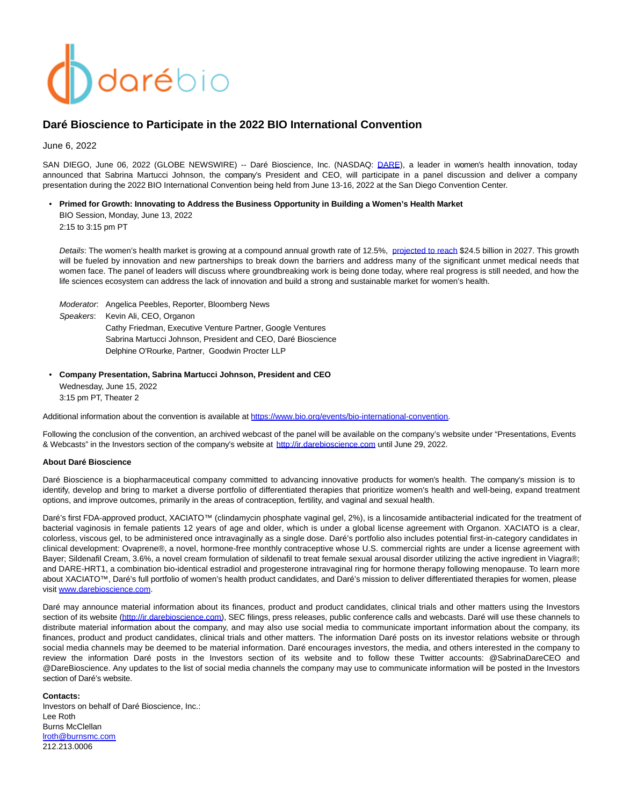# darébio

# **Daré Bioscience to Participate in the 2022 BIO International Convention**

June 6, 2022

SAN DIEGO, June 06, 2022 (GLOBE NEWSWIRE) -- Daré Bioscience, Inc. (NASDAQ: [DARE\),](https://www.globenewswire.com/Tracker?data=sxbzEeZDmTzB11jYbGQe4lghxd7E6I50y0ZX2D8047C4DDKzc5J0VyInRjXZGIVfsyTd85_FMAIcipMrCIcW2hpmFAgyeZzgzgq6PnxXrxE=) a leader in women's health innovation, today announced that Sabrina Martucci Johnson, the company's President and CEO, will participate in a panel discussion and deliver a company presentation during the 2022 BIO International Convention being held from June 13-16, 2022 at the San Diego Convention Center.

• **Primed for Growth: Innovating to Address the Business Opportunity in Building a Women's Health Market**

BIO Session, Monday, June 13, 2022 2:15 to 3:15 pm PT

Details: The women's health market is growing at a compound annual growth rate of 12.5%, [projected to reach](https://nam04.safelinks.protection.outlook.com/?url=https%3A%2F%2Fwww.emergenresearch.com%2Findustry-report%2Fwomens-health-market%23%3A~%3Atext%3DScope%2520of%2520Research%2520%2520%2520PARAMETERS%2520%2520%2C%2520%25202020%2520%25209%2520more%2520rows%2520&data=05%7C01%7Cjoanna.breitstein%40organon.com%7C00564928879c4814985c08da3ce96f7f%7C484a70d1caaf4a03a4771cbe688304af%7C0%7C0%7C637889270560641616%7CUnknown%7CTWFpbGZsb3d8eyJWIjoiMC4wLjAwMDAiLCJQIjoiV2luMzIiLCJBTiI6Ik1haWwiLCJXVCI6Mn0%3D%7C3000%7C%7C%7C&sdata=E%2Bz24uQ8IphVSS9Je6gmljpnxtt1gmvVcgUwxN0YA%2FQ%3D&reserved=0) \$24.5 billion in 2027. This growth will be fueled by innovation and new partnerships to break down the barriers and address many of the significant unmet medical needs that women face. The panel of leaders will discuss where groundbreaking work is being done today, where real progress is still needed, and how the life sciences ecosystem can address the lack of innovation and build a strong and sustainable market for women's health.

Moderator: Angelica Peebles, Reporter, Bloomberg News Speakers: Kevin Ali, CEO, Organon Cathy Friedman, Executive Venture Partner, Google Ventures Sabrina Martucci Johnson, President and CEO, Daré Bioscience Delphine O'Rourke, Partner, Goodwin Procter LLP

### • **Company Presentation, Sabrina Martucci Johnson, President and CEO**

Wednesday, June 15, 2022 3:15 pm PT, Theater 2

Additional information about the convention is available at [https://www.bio.org/events/bio-international-convention.](https://www.bio.org/events/bio-international-convention)

Following the conclusion of the convention, an archived webcast of the panel will be available on the company's website under "Presentations, Events & Webcasts" in the Investors section of the company's website at [http://ir.darebioscience.com u](https://www.globenewswire.com/Tracker?data=FpsQXbEpmPBKheofWeaNDx9zDzDI8bnzQ7UnQKSvMyYUOsjZcJnWodhB1caTGf0ZnO2amUAw8_i0JOsjYo3avzISR5l57o4IsbHMIq5RKpA=)ntil June 29, 2022.

### **About Daré Bioscience**

Daré Bioscience is a biopharmaceutical company committed to advancing innovative products for women's health. The company's mission is to identify, develop and bring to market a diverse portfolio of differentiated therapies that prioritize women's health and well-being, expand treatment options, and improve outcomes, primarily in the areas of contraception, fertility, and vaginal and sexual health.

Daré's first FDA-approved product, XACIATO™ (clindamycin phosphate vaginal gel, 2%), is a lincosamide antibacterial indicated for the treatment of bacterial vaginosis in female patients 12 years of age and older, which is under a global license agreement with Organon. XACIATO is a clear, colorless, viscous gel, to be administered once intravaginally as a single dose. Daré's portfolio also includes potential first-in-category candidates in clinical development: Ovaprene®, a novel, hormone-free monthly contraceptive whose U.S. commercial rights are under a license agreement with Bayer; Sildenafil Cream, 3.6%, a novel cream formulation of sildenafil to treat female sexual arousal disorder utilizing the active ingredient in Viagra®; and DARE-HRT1, a combination bio-identical estradiol and progesterone intravaginal ring for hormone therapy following menopause. To learn more about XACIATO™, Daré's full portfolio of women's health product candidates, and Daré's mission to deliver differentiated therapies for women, please visit [www.darebioscience.com.](http://www.darebioscience.com/)

Daré may announce material information about its finances, product and product candidates, clinical trials and other matters using the Investors section of its website [\(http://ir.darebioscience.com\),](https://www.globenewswire.com/Tracker?data=FpsQXbEpmPBKheofWeaNDx9zDzDI8bnzQ7UnQKSvMyaGUdoSuKy0nQCe6VheyxUk_8U4C8YwAti3v1fs8G3DYkTBXbg7NJ2hZGf6LBFSx74=) SEC filings, press releases, public conference calls and webcasts. Daré will use these channels to distribute material information about the company, and may also use social media to communicate important information about the company, its finances, product and product candidates, clinical trials and other matters. The information Daré posts on its investor relations website or through social media channels may be deemed to be material information. Daré encourages investors, the media, and others interested in the company to review the information Daré posts in the Investors section of its website and to follow these Twitter accounts: @SabrinaDareCEO and @DareBioscience. Any updates to the list of social media channels the company may use to communicate information will be posted in the Investors section of Daré's website.

### **Contacts:**

Investors on behalf of Daré Bioscience, Inc.: Lee Roth Burns McClellan [lroth@burnsmc.com](https://www.globenewswire.com/Tracker?data=I2koe9IU2uD_eUb99NhtBPNGWhq-dAuA39GkMpVTkdvFRtK9wxyrCY4FaKaJW3kcpiU2BiOUMRhGTcFQL4DBZQ==) 212.213.0006